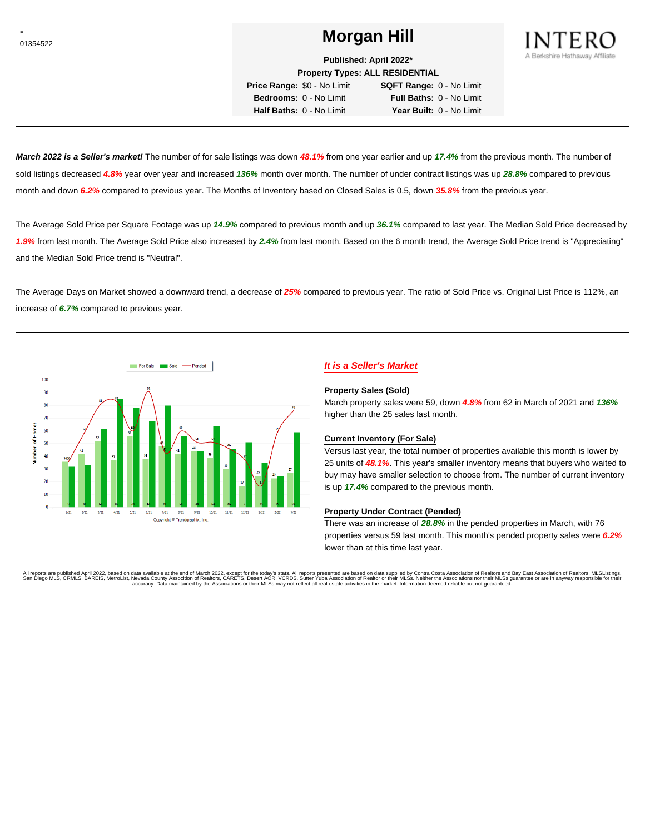# <sup>01354522</sup> **Morgan Hill**



**Published: April 2022\***

**Property Types: ALL RESIDENTIAL**

**Price Range:** \$0 - No Limit **SQFT Range:** 0 - No Limit **Bedrooms:** 0 - No Limit **Full Baths:** 0 - No Limit **Half Baths:** 0 - No Limit **Year Built:** 0 - No Limit

**March 2022 is a Seller's market!** The number of for sale listings was down **48.1%** from one year earlier and up **17.4%** from the previous month. The number of sold listings decreased **4.8%** year over year and increased **136%** month over month. The number of under contract listings was up **28.8%** compared to previous month and down **6.2%** compared to previous year. The Months of Inventory based on Closed Sales is 0.5, down **35.8%** from the previous year.

The Average Sold Price per Square Footage was up **14.9%** compared to previous month and up **36.1%** compared to last year. The Median Sold Price decreased by **1.9%** from last month. The Average Sold Price also increased by **2.4%** from last month. Based on the 6 month trend, the Average Sold Price trend is "Appreciating" and the Median Sold Price trend is "Neutral".

The Average Days on Market showed a downward trend, a decrease of **25%** compared to previous year. The ratio of Sold Price vs. Original List Price is 112%, an increase of **6.7%** compared to previous year.



## **It is a Seller's Market**

#### **Property Sales (Sold)**

March property sales were 59, down **4.8%** from 62 in March of 2021 and **136%** higher than the 25 sales last month.

#### **Current Inventory (For Sale)**

Versus last year, the total number of properties available this month is lower by 25 units of **48.1%**. This year's smaller inventory means that buyers who waited to buy may have smaller selection to choose from. The number of current inventory is up **17.4%** compared to the previous month.

#### **Property Under Contract (Pended)**

There was an increase of **28.8%** in the pended properties in March, with 76 properties versus 59 last month. This month's pended property sales were **6.2%** lower than at this time last year.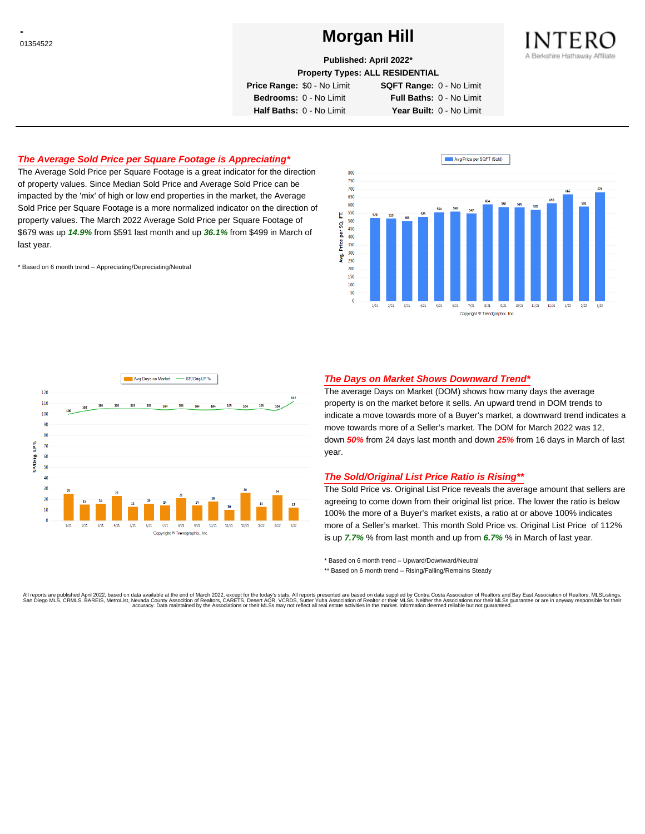# <sup>01354522</sup> **Morgan Hill**



**Published: April 2022\***

**Property Types: ALL RESIDENTIAL**

**Price Range:** \$0 - No Limit **SQFT Range:** 0 - No Limit

**Bedrooms:** 0 - No Limit **Full Baths:** 0 - No Limit **Half Baths:** 0 - No Limit **Year Built:** 0 - No Limit

### **The Average Sold Price per Square Footage is Appreciating\***

The Average Sold Price per Square Footage is a great indicator for the direction of property values. Since Median Sold Price and Average Sold Price can be impacted by the 'mix' of high or low end properties in the market, the Average Sold Price per Square Footage is a more normalized indicator on the direction of property values. The March 2022 Average Sold Price per Square Footage of \$679 was up **14.9%** from \$591 last month and up **36.1%** from \$499 in March of last year.

\* Based on 6 month trend – Appreciating/Depreciating/Neutral





### **The Days on Market Shows Downward Trend\***

The average Days on Market (DOM) shows how many days the average property is on the market before it sells. An upward trend in DOM trends to indicate a move towards more of a Buyer's market, a downward trend indicates a move towards more of a Seller's market. The DOM for March 2022 was 12, down **50%** from 24 days last month and down **25%** from 16 days in March of last year.

#### **The Sold/Original List Price Ratio is Rising\*\***

The Sold Price vs. Original List Price reveals the average amount that sellers are agreeing to come down from their original list price. The lower the ratio is below 100% the more of a Buyer's market exists, a ratio at or above 100% indicates more of a Seller's market. This month Sold Price vs. Original List Price of 112% is up **7.7%** % from last month and up from **6.7%** % in March of last year.

\* Based on 6 month trend – Upward/Downward/Neutral

\*\* Based on 6 month trend - Rising/Falling/Remains Steady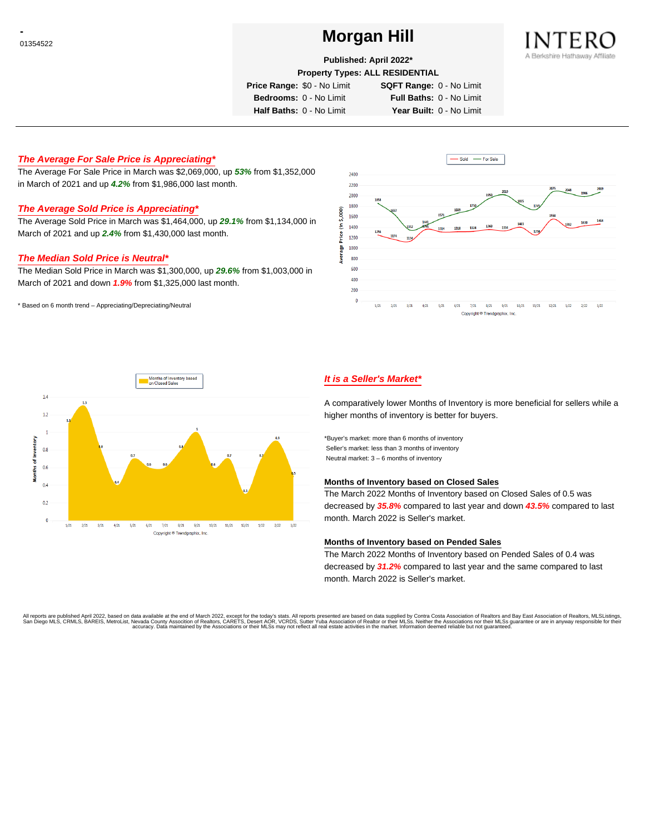# <sup>01354522</sup> **Morgan Hill**



### **Published: April 2022\***

**Property Types: ALL RESIDENTIAL**

**Price Range:** \$0 - No Limit **SQFT Range:** 0 - No Limit

**Bedrooms:** 0 - No Limit **Full Baths:** 0 - No Limit

**Half Baths:** 0 - No Limit **Year Built:** 0 - No Limit

## **The Average For Sale Price is Appreciating\***

The Average For Sale Price in March was \$2,069,000, up **53%** from \$1,352,000 in March of 2021 and up **4.2%** from \$1,986,000 last month.

## **The Average Sold Price is Appreciating\***

The Average Sold Price in March was \$1,464,000, up **29.1%** from \$1,134,000 in March of 2021 and up **2.4%** from \$1,430,000 last month.

### **The Median Sold Price is Neutral\***

The Median Sold Price in March was \$1,300,000, up **29.6%** from \$1,003,000 in March of 2021 and down **1.9%** from \$1,325,000 last month.

\* Based on 6 month trend – Appreciating/Depreciating/Neutral





## **It is a Seller's Market\***

A comparatively lower Months of Inventory is more beneficial for sellers while a higher months of inventory is better for buyers.

\*Buyer's market: more than 6 months of inventory Seller's market: less than 3 months of inventory Neutral market: 3 – 6 months of inventory

#### **Months of Inventory based on Closed Sales**

The March 2022 Months of Inventory based on Closed Sales of 0.5 was decreased by **35.8%** compared to last year and down **43.5%** compared to last month. March 2022 is Seller's market.

#### **Months of Inventory based on Pended Sales**

The March 2022 Months of Inventory based on Pended Sales of 0.4 was decreased by **31.2%** compared to last year and the same compared to last month. March 2022 is Seller's market.